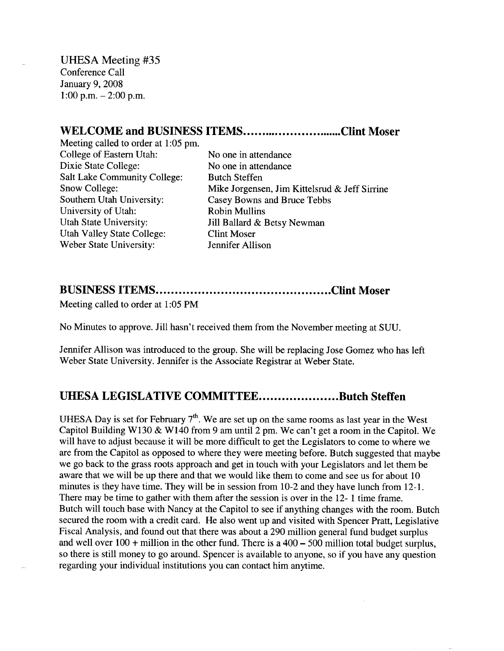UHESA Meeting #35 Conference Call January 9, 2008 1:00 p.m.  $-2:00$  p.m.

## WELCOME and BUSINESS ITEMS.............................Clint Moser

Meeting called to order at 1:05 pm. College of Eastern Utah: No one in attendance Dixie State College: No one in attendance Salt Lake Community College: Butch Steffen Southern Utah University: Casey Bowns and Bruce Tebbs University of Utah: Robin Mullins Utah State University: Jill Ballard & Betsy Newman Utah Valley State College: Clint Moser Weber State University: Jennifer Allison

Snow College: Mike Jorgensen, Jim Kittelsrud & Jeff Sirrine

## **BUSINESS ITEMS Clint Moser**

Meeting called to order at 1:05 PM

No Minutes to approve. Jill hasn't received them from the November meeting at SUU.

Jennifer Allison was introduced to the group. She will be replacing Jose Gomez who has left Weber State University. Jennifer is the Associate Registrar at Weber State.

## **UHESA LEGISLATIVE COMMITTEE...................Butch Steffen**

UHESA Day is set for February  $7<sup>th</sup>$ . We are set up on the same rooms as last year in the West Capitol Building W130 & W140 from 9 am until 2 pm. We can't get a room in the Capitol. We will have to adjust because it will be more difficult to get the Legislators to come to where we are from the Capitol as opposed to where they were meeting before. Butch suggested that maybe we go back to the grass roots approach and get in touch with your Legislators and let them be aware that we will be up there and that we would like them to come and see us for about 10 minutes is they have time. They will be in session from 10-2 and they have lunch from 12-1. There may be time to gather with them after the session is over in the 12-1 time frame. Butch will touch base with Nancy at the Capitol to see if anything changes with the room. Butch secured the room with a credit card. He also went up and visited with Spencer Pratt, Legislative Fiscal Analysis, and found out that there was about a 290 million general fund budget surplus and well over  $100 +$  million in the other fund. There is a  $400 - 500$  million total budget surplus, so there is still money to go around. Spencer is available to anyone, so if you have any question regarding your individual institutions you can contact him anytime.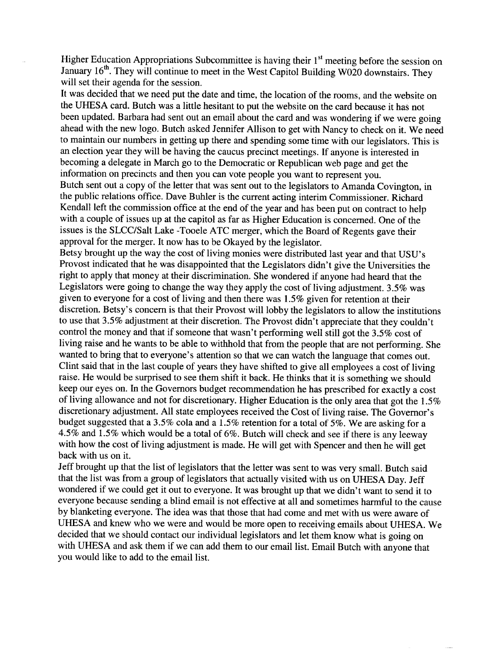Higher Education Appropriations Subcommittee is having their 1<sup>st</sup> meeting before the session on January 16<sup>th</sup>. They will continue to meet in the West Capitol Building W020 downstairs. They will set their agenda for the session.

It was decided that we need put the date and time, the location of the rooms, and the website on the UHES A card. Butch was a little hesitant to put the website on the card because it has not been updated. Barbara had sent out an email about the card and was wondering if we were going ahead with the new logo. Butch asked Jennifer Allison to get with Nancy to check on it. We need to maintain our numbers in getting up there and spending some time with our legislators. This is an election year they will be having the caucus precinct meetings. If anyone is interested in becoming a delegate in March go to the Democratic or Republican web page and get the information on precincts and then you can vote people you want to represent you. Butch sent out a copy of the letter that was sent out to the legislators to Amanda Covington, in the public relations office. Dave Buhler is the current acting interim Commissioner. Richard Kendall left the commission office at the end of the year and has been put on contract to help with a couple of issues up at the capitol as far as Higher Education is concerned. One of the issues is the SLCC/Salt Lake -Tooele ATC merger, which the Board of Regents gave their approval for the merger. It now has to be Okayed by the legislator.

Betsy brought up the way the cost of living monies were distributed last year and that USU's Provost indicated that he was disappointed that the Legislators didn't give the Universities the right to apply that money at their discrimination. She wondered if anyone had heard that the Legislators were going to change the way they apply the cost of living adjustment. 3.5% was given to everyone for a cost of living and then there was 1.5% given for retention at their discretion. Betsy's concern is that their Provost will lobby the legislators to allow the institutions to use that 3.5% adjustment at their discretion. The Provost didn't appreciate that they couldn't control the money and that if someone that wasn't performing well still got the 3.5% cost of living raise and he wants to be able to withhold that from the people that are not performing. She wanted to bring that to everyone's attention so that we can watch the language that comes out. Clint said that in the last couple of years they have shifted to give all employees a cost of living raise. He would be surprised to see them shift it back. He thinks that it is something we should keep our eyes on. In the Governors budget recommendation he has prescribed for exactly a cost of living allowance and not for discretionary. Higher Education is the only area that got the 1.5% discretionary adjustment. All state employees received the Cost of living raise. The Governor's budget suggested that a 3.5% cola and a 1.5% retention for a total of 5%. We are asking for a 4.5% and 1.5% which would be a total of 6%. Butch will check and see if there is any leeway with how the cost of living adjustment is made. He will get with Spencer and then he will get back with us on it.

Jeff brought up that the list of legislators that the letter was sent to was very small. Butch said that the list was from a group of legislators that actually visited with us on UHESA Day. Jeff wondered if we could get it out to everyone. It was brought up that we didn't want to send it to everyone because sending a blind email is not effective at all and sometimes harmful to the cause by blanketing everyone. The idea was that those that had come and met with us were aware of UHESA and knew who we were and would be more open to receiving emails about UHESA. We decided that we should contact our individual legislators and let them know what is going on with UHESA and ask them if we can add them to our email list. Email Butch with anyone that you would like to add to the email list.